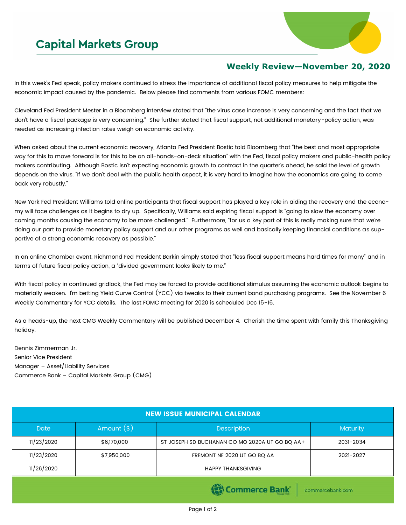## **Capital Markets Group**



## **Weekly Review—November 20, 2020**

In this week's Fed speak, policy makers continued to stress the importance of additional fiscal policy measures to help mitigate the economic impact caused by the pandemic. Below please find comments from various FOMC members:

Cleveland Fed President Mester in a Bloomberg interview stated that "the virus case increase is very concerning and the fact that we don't have a fiscal package is very concerning." She further stated that fiscal support, not additional monetary-policy action, was needed as increasing infection rates weigh on economic activity.

When asked about the current economic recovery, Atlanta Fed President Bostic told Bloomberg that "the best and most appropriate way for this to move forward is for this to be an all-hands-on-deck situation" with the Fed, fiscal policy makers and public-health policy makers contributing. Although Bostic isn't expecting economic growth to contract in the quarter's ahead, he said the level of growth depends on the virus. "If we don't deal with the public health aspect, it is very hard to imagine how the economics are going to come back very robustly."

New York Fed President Williams told online participants that fiscal support has played a key role in aiding the recovery and the economy will face challenges as it begins to dry up. Specifically, Williams said expiring fiscal support is "going to slow the economy over coming months causing the economy to be more challenged." Furthermore, "for us a key part of this is really making sure that we're doing our part to provide monetary policy support and our other programs as well and basically keeping financial conditions as supportive of a strong economic recovery as possible."

In an online Chamber event, Richmond Fed President Barkin simply stated that "less fiscal support means hard times for many" and in terms of future fiscal policy action, a "divided government looks likely to me."

With fiscal policy in continued gridlock, the Fed may be forced to provide additional stimulus assuming the economic outlook begins to materially weaken. I'm betting Yield Curve Control (YCC) via tweaks to their current bond purchasing programs. See the November 6 Weekly Commentary for YCC details. The last FOMC meeting for 2020 is scheduled Dec 15-16.

As a heads-up, the next CMG Weekly Commentary will be published December 4. Cherish the time spent with family this Thanksgiving holiday.

Dennis Zimmerman Jr. Senior Vice President Manager – Asset/Liability Services Commerce Bank – Capital Markets Group (CMG)

| <b>NEW ISSUE MUNICIPAL CALENDAR</b>          |              |                                                |           |  |  |
|----------------------------------------------|--------------|------------------------------------------------|-----------|--|--|
| <b>Date</b>                                  | Amount $(*)$ | <b>Description</b>                             | Maturity  |  |  |
| 11/23/2020                                   | \$6,170,000  | ST JOSEPH SD BUCHANAN CO MO 2020A UT GO BO AA+ | 2031-2034 |  |  |
| 11/23/2020                                   | \$7,950,000  | FREMONT NE 2020 UT GO BQ AA                    | 2021-2027 |  |  |
| 11/26/2020                                   |              | <b>HAPPY THANKSGIVING</b>                      |           |  |  |
| <b>EL Commerce Rank</b><br>sommande bonk som |              |                                                |           |  |  |